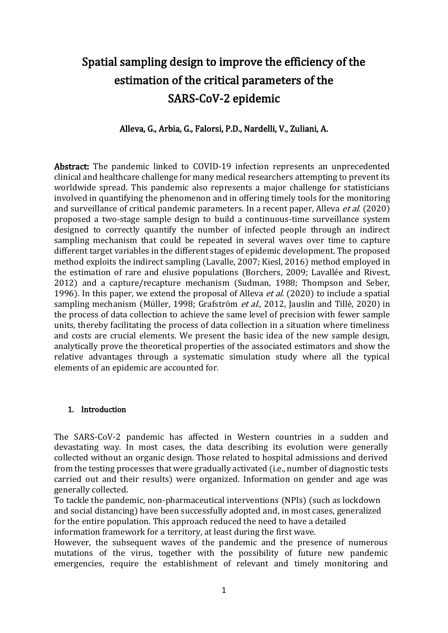# Spatial sampling design to improve the efficiency of the estimation of the critical parameters of the SARS-CoV-2 epidemic

### Alleva, G., Arbia, G., Falorsi, P.D., Nardelli, V., Zuliani, A.

Abstract: The pandemic linked to COVID-19 infection represents an unprecedented clinical and healthcare challenge for many medical researchers attempting to prevent its worldwide spread. This pandemic also represents a major challenge for statisticians involved in quantifying the phenomenon and in offering timely tools for the monitoring and surveillance of critical pandemic parameters. In a recent paper, Alleva *et al.* (2020) proposed a two-stage sample design to build a continuous-time surveillance system designed to correctly quantify the number of infected people through an indirect sampling mechanism that could be repeated in several waves over time to capture different target variables in the different stages of epidemic development. The proposed method exploits the indirect sampling (Lavalle, 2007; Kiesl, 2016) method employed in the estimation of rare and elusive populations (Borchers, 2009; Lavallée and Rivest, 2012) and a capture/recapture mechanism (Sudman, 1988; Thompson and Seber, 1996). In this paper, we extend the proposal of Alleva *et al.* (2020) to include a spatial sampling mechanism (Müller, 1998; Grafström et al., 2012, Jauslin and Tillè, 2020) in the process of data collection to achieve the same level of precision with fewer sample units, thereby facilitating the process of data collection in a situation where timeliness and costs are crucial elements. We present the basic idea of the new sample design, analytically prove the theoretical properties of the associated estimators and show the relative advantages through a systematic simulation study where all the typical elements of an epidemic are accounted for.

### 1. Introduction

The SARS-CoV-2 pandemic has affected in Western countries in a sudden and devastating way. In most cases, the data describing its evolution were generally collected without an organic design. Those related to hospital admissions and derived from the testing processes that were gradually activated (i.e., number of diagnostic tests carried out and their results) were organized. Information on gender and age was generally collected.

To tackle the pandemic, non-pharmaceutical interventions (NPIs) (such as lockdown and social distancing) have been successfully adopted and, in most cases, generalized for the entire population. This approach reduced the need to have a detailed information framework for a territory, at least during the first wave.

However, the subsequent waves of the pandemic and the presence of numerous mutations of the virus, together with the possibility of future new pandemic emergencies, require the establishment of relevant and timely monitoring and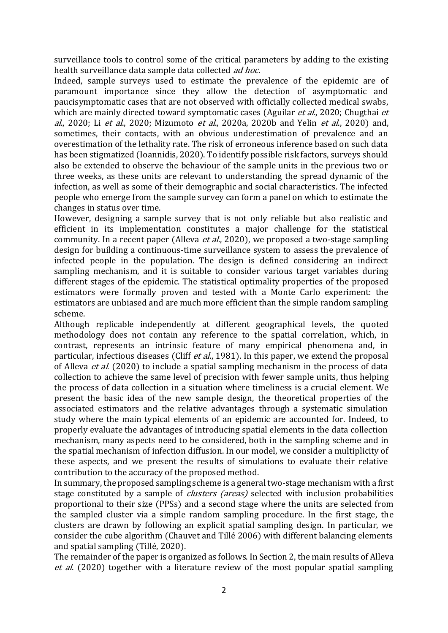surveillance tools to control some of the critical parameters by adding to the existing health surveillance data sample data collected ad hoc.

Indeed, sample surveys used to estimate the prevalence of the epidemic are of paramount importance since they allow the detection of asymptomatic and paucisymptomatic cases that are not observed with officially collected medical swabs, which are mainly directed toward symptomatic cases (Aguilar *et al.*, 2020; Chugthai *et* al., 2020; Li et al., 2020; Mizumoto et al., 2020a, 2020b and Yelin et al., 2020) and, sometimes, their contacts, with an obvious underestimation of prevalence and an overestimation of the lethality rate. The risk of erroneous inference based on such data has been stigmatized (Ioannidis, 2020). To identify possible risk factors, surveys should also be extended to observe the behaviour of the sample units in the previous two or three weeks, as these units are relevant to understanding the spread dynamic of the infection, as well as some of their demographic and social characteristics. The infected people who emerge from the sample survey can form a panel on which to estimate the changes in status over time.

However, designing a sample survey that is not only reliable but also realistic and efficient in its implementation constitutes a major challenge for the statistical community. In a recent paper (Alleva *et al.*, 2020), we proposed a two-stage sampling design for building a continuous-time surveillance system to assess the prevalence of infected people in the population. The design is defined considering an indirect sampling mechanism, and it is suitable to consider various target variables during different stages of the epidemic. The statistical optimality properties of the proposed estimators were formally proven and tested with a Monte Carlo experiment: the estimators are unbiased and are much more efficient than the simple random sampling scheme.

Although replicable independently at different geographical levels, the quoted methodology does not contain any reference to the spatial correlation, which, in contrast, represents an intrinsic feature of many empirical phenomena and, in particular, infectious diseases (Cliff *et al.*, 1981). In this paper, we extend the proposal of Alleva et al. (2020) to include a spatial sampling mechanism in the process of data collection to achieve the same level of precision with fewer sample units, thus helping the process of data collection in a situation where timeliness is a crucial element. We present the basic idea of the new sample design, the theoretical properties of the associated estimators and the relative advantages through a systematic simulation study where the main typical elements of an epidemic are accounted for. Indeed, to properly evaluate the advantages of introducing spatial elements in the data collection mechanism, many aspects need to be considered, both in the sampling scheme and in the spatial mechanism of infection diffusion. In our model, we consider a multiplicity of these aspects, and we present the results of simulations to evaluate their relative contribution to the accuracy of the proposed method.

In summary, the proposed sampling scheme is a general two-stage mechanism with a first stage constituted by a sample of *clusters (areas)* selected with inclusion probabilities proportional to their size (PPSs) and a second stage where the units are selected from the sampled cluster via a simple random sampling procedure. In the first stage, the clusters are drawn by following an explicit spatial sampling design. In particular, we consider the cube algorithm (Chauvet and Tillé 2006) with different balancing elements and spatial sampling (Tillé, 2020).

The remainder of the paper is organized as follows. In Section 2, the main results of Alleva et al. (2020) together with a literature review of the most popular spatial sampling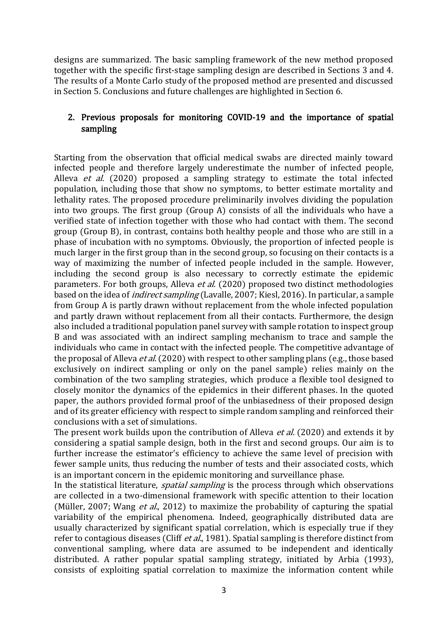designs are summarized. The basic sampling framework of the new method proposed together with the specific first-stage sampling design are described in Sections 3 and 4. The results of a Monte Carlo study of the proposed method are presented and discussed in Section 5. Conclusions and future challenges are highlighted in Section 6.

### 2. Previous proposals for monitoring COVID-19 and the importance of spatial sampling

Starting from the observation that official medical swabs are directed mainly toward infected people and therefore largely underestimate the number of infected people, Alleva *et al.* (2020) proposed a sampling strategy to estimate the total infected population, including those that show no symptoms, to better estimate mortality and lethality rates. The proposed procedure preliminarily involves dividing the population into two groups. The first group (Group A) consists of all the individuals who have a verified state of infection together with those who had contact with them. The second group (Group B), in contrast, contains both healthy people and those who are still in a phase of incubation with no symptoms. Obviously, the proportion of infected people is much larger in the first group than in the second group, so focusing on their contacts is a way of maximizing the number of infected people included in the sample. However, including the second group is also necessary to correctly estimate the epidemic parameters. For both groups, Alleva *et al.* (2020) proposed two distinct methodologies based on the idea of indirect sampling (Lavalle, 2007; Kiesl, 2016). In particular, a sample from Group A is partly drawn without replacement from the whole infected population and partly drawn without replacement from all their contacts. Furthermore, the design also included a traditional population panel survey with sample rotation to inspect group B and was associated with an indirect sampling mechanism to trace and sample the individuals who came in contact with the infected people. The competitive advantage of the proposal of Alleva *et al.* (2020) with respect to other sampling plans (e.g., those based exclusively on indirect sampling or only on the panel sample) relies mainly on the combination of the two sampling strategies, which produce a flexible tool designed to closely monitor the dynamics of the epidemics in their different phases. In the quoted paper, the authors provided formal proof of the unbiasedness of their proposed design and of its greater efficiency with respect to simple random sampling and reinforced their conclusions with a set of simulations.

The present work builds upon the contribution of Alleva *et al.* (2020) and extends it by considering a spatial sample design, both in the first and second groups. Our aim is to further increase the estimator's efficiency to achieve the same level of precision with fewer sample units, thus reducing the number of tests and their associated costs, which is an important concern in the epidemic monitoring and surveillance phase.

In the statistical literature, *spatial sampling* is the process through which observations are collected in a two-dimensional framework with specific attention to their location (Müller, 2007; Wang *et al.*, 2012) to maximize the probability of capturing the spatial variability of the empirical phenomena. Indeed, geographically distributed data are usually characterized by significant spatial correlation, which is especially true if they refer to contagious diseases (Cliff et al., 1981). Spatial sampling is therefore distinct from conventional sampling, where data are assumed to be independent and identically distributed. A rather popular spatial sampling strategy, initiated by Arbia (1993), consists of exploiting spatial correlation to maximize the information content while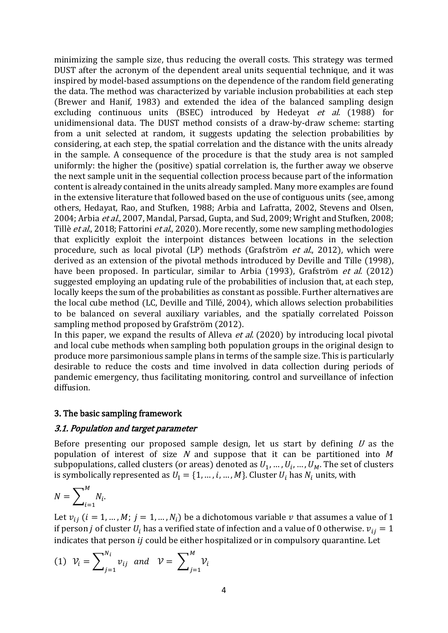minimizing the sample size, thus reducing the overall costs. This strategy was termed DUST after the acronym of the dependent areal units sequential technique, and it was inspired by model-based assumptions on the dependence of the random field generating the data. The method was characterized by variable inclusion probabilities at each step (Brewer and Hanif, 1983) and extended the idea of the balanced sampling design excluding continuous units (BSEC) introduced by Hedevat *et al.* (1988) for unidimensional data. The DUST method consists of a draw-by-draw scheme: starting from a unit selected at random, it suggests updating the selection probabilities by considering, at each step, the spatial correlation and the distance with the units already in the sample. A consequence of the procedure is that the study area is not sampled uniformly: the higher the (positive) spatial correlation is, the further away we observe the next sample unit in the sequential collection process because part of the information content is already contained in the units already sampled. Many more examples are found in the extensive literature that followed based on the use of contiguous units (see, among others, Hedayat, Rao, and Stufken, 1988; Arbia and Lafratta, 2002, Stevens and Olsen, 2004; Arbia et al., 2007, Mandal, Parsad, Gupta, and Sud, 2009; Wright and Stufken, 2008; Tillè et al., 2018; Fattorini et al., 2020). More recently, some new sampling methodologies that explicitly exploit the interpoint distances between locations in the selection procedure, such as local pivotal (LP) methods (Grafström et al., 2012), which were derived as an extension of the pivotal methods introduced by Deville and Tille (1998), have been proposed. In particular, similar to Arbia (1993), Grafström et al. (2012) suggested employing an updating rule of the probabilities of inclusion that, at each step, locally keeps the sum of the probabilities as constant as possible. Further alternatives are the local cube method (LC, Deville and Tillé, 2004), which allows selection probabilities to be balanced on several auxiliary variables, and the spatially correlated Poisson sampling method proposed by Grafström (2012).

In this paper, we expand the results of Alleva *et al.* (2020) by introducing local pivotal and local cube methods when sampling both population groups in the original design to produce more parsimonious sample plans in terms of the sample size. This is particularly desirable to reduce the costs and time involved in data collection during periods of pandemic emergency, thus facilitating monitoring, control and surveillance of infection diffusion.

### 3. The basic sampling framework

### 3.1. Population and target parameter

Before presenting our proposed sample design, let us start by defining  $U$  as the population of interest of size  $N$  and suppose that it can be partitioned into  $M$ subpopulations, called clusters (or areas) denoted as  $U_1, ..., U_i, ..., U_M$ . The set of clusters is symbolically represented as  $U_1 = \{1, ..., i, ..., M\}$ . Cluster  $U_i$  has  $N_i$  units, with

$$
N=\sum_{i=1}^M N_i.
$$

Let  $v_{ij}$  ( $i = 1, ..., M$ ;  $j = 1, ..., N_i$ ) be a dichotomous variable v that assumes a value of 1 if person *j* of cluster  $U_i$  has a verified state of infection and a value of 0 otherwise.  $v_{ij} = 1$ indicates that person  $i j$  could be either hospitalized or in compulsory quarantine. Let

(1) 
$$
\mathcal{V}_i = \sum_{j=1}^{N_i} v_{ij} \text{ and } \mathcal{V} = \sum_{j=1}^{M} \mathcal{V}_i
$$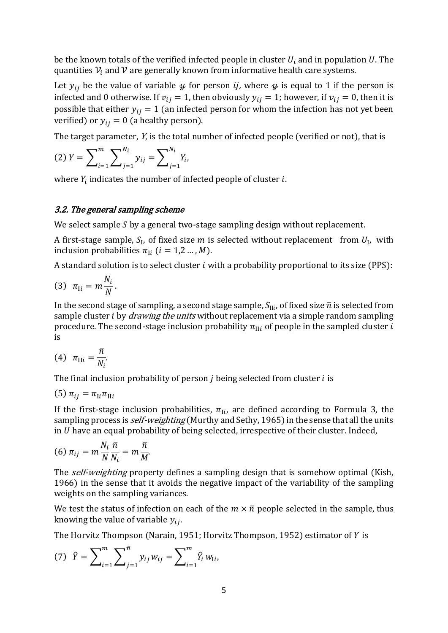be the known totals of the verified infected people in cluster  $U_i$  and in population U. The quantities  $V_i$  and  $V$  are generally known from informative health care systems.

Let  $y_{ij}$  be the value of variable  $\psi$  for person *ij*, where  $\psi$  is equal to 1 if the person is infected and 0 otherwise. If  $v_{ij} = 1$ , then obviously  $y_{ij} = 1$ ; however, if  $v_{ij} = 0$ , then it is possible that either  $y_{ij} = 1$  (an infected person for whom the infection has not yet been verified) or  $y_{ij} = 0$  (a healthy person).

The target parameter, Y, is the total number of infected people (verified or not), that is

(2) 
$$
Y = \sum_{i=1}^{m} \sum_{j=1}^{N_i} y_{ij} = \sum_{j=1}^{N_i} Y_i
$$
,

where  $Y_i$  indicates the number of infected people of cluster  $i.$ 

### 3.2. The general sampling scheme

We select sample  $S$  by a general two-stage sampling design without replacement.

A first-stage sample,  $S_I$ , of fixed size m is selected without replacement from  $U_I$ , with inclusion probabilities  $\pi_{\text{I}i}$  ( $i = 1,2...$ , M).

A standard solution is to select cluster  $i$  with a probability proportional to its size (PPS):

$$
(3) \ \pi_{\mathrm{I}i} = m \frac{N_i}{N}.
$$

In the second stage of sampling, a second stage sample,  $S_{\text{II}i}$ , of fixed size  $\bar{n}$  is selected from sample cluster *i* by *drawing the units* without replacement via a simple random sampling procedure. The second-stage inclusion probability  $\pi_{II}$  of people in the sampled cluster i is

$$
(4) \quad \pi_{\text{II}i} = \frac{\bar{n}}{N_i}.
$$

The final inclusion probability of person  $i$  being selected from cluster  $i$  is

$$
(5) \pi_{ij} = \pi_{\mathrm{I}i} \pi_{\mathrm{II}i}
$$

If the first-stage inclusion probabilities,  $\pi_{\text{I}i}$ , are defined according to Formula 3, the sampling process is *self-weighting* (Murthy and Sethy, 1965) in the sense that all the units in  $U$  have an equal probability of being selected, irrespective of their cluster. Indeed,

$$
(6) \pi_{ij} = m \frac{N_i}{N} \frac{\bar{n}}{N_i} = m \frac{\bar{n}}{M}.
$$

The *self-weighting* property defines a sampling design that is somehow optimal (Kish, 1966) in the sense that it avoids the negative impact of the variability of the sampling weights on the sampling variances.

We test the status of infection on each of the  $m \times \bar{n}$  people selected in the sample, thus knowing the value of variable  $y_{ij}$ .

The Horvitz Thompson (Narain, 1951; Horvitz Thompson, 1952) estimator of Y is

(7) 
$$
\hat{Y} = \sum_{i=1}^{m} \sum_{j=1}^{\bar{n}} y_{ij} w_{ij} = \sum_{i=1}^{m} \hat{Y}_i w_{1i},
$$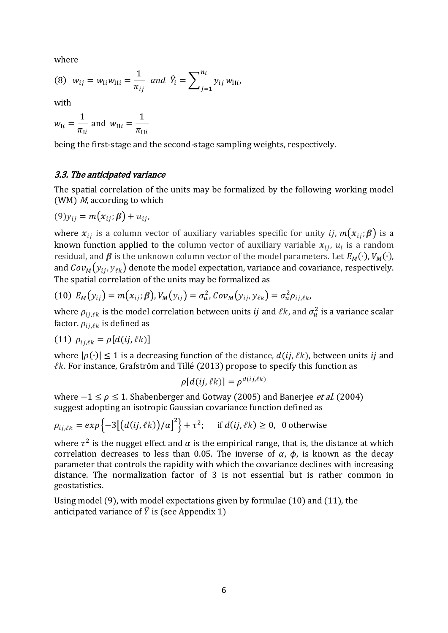where

(8) 
$$
w_{ij} = w_{Ii} w_{IIi} = \frac{1}{\pi_{ij}}
$$
 and  $\hat{Y}_i = \sum_{j=1}^{n_i} y_{ij} w_{IIi}$ ,

with

$$
w_{\text{I}i} = \frac{1}{\pi_{\text{I}i}}
$$
 and  $w_{\text{II}i} = \frac{1}{\pi_{\text{II}i}}$ 

being the first-stage and the second-stage sampling weights, respectively.

#### 3.3. The anticipated variance

The spatial correlation of the units may be formalized by the following working model (WM)  $M$ , according to which

$$
(9)y_{ij} = m(x_{ij}; \beta) + u_{ij},
$$

where  $x_{ij}$  is a column vector of auxiliary variables specific for unity ij,  $m(x_{ij};\beta)$  is a known function applied to the column vector of auxiliary variable  $x_{ij}$ ,  $u_i$  is a random residual, and  $\beta$  is the unknown column vector of the model parameters. Let  $E_M(\cdot)$ ,  $V_M(\cdot)$ , and  $Cov_M(y_{ij}, y_{\ell k})$  denote the model expectation, variance and covariance, respectively. The spatial correlation of the units may be formalized as

(10) 
$$
E_M(y_{ij}) = m(x_{ij}; \beta), V_M(y_{ij}) = \sigma_u^2
$$
,  $Cov_M(y_{ij}, y_{\ell k}) = \sigma_u^2 \rho_{ij, \ell k}$ ,

where  $\rho_{ij,\ell k}$  is the model correlation between units *ij* and  $\ell k$ , and  $\sigma_u^2$  is a variance scalar factor.  $\rho_{ij, \ell k}$  is defined as

$$
(11) \ \rho_{ij,\ell k} = \rho [d(ij,\ell k)]
$$

where  $|\rho(\cdot)| \le 1$  is a decreasing function of the distance,  $d(ij, \ell k)$ , between units *ij* and  $\ell$ k. For instance, Grafström and Tillé (2013) propose to specify this function as

$$
\rho[d(ij,\ell k)] = \rho^{d(ij,\ell k)}
$$

where  $-1 \le \rho \le 1$ . Shabenberger and Gotway (2005) and Banerjee *et al.* (2004) suggest adopting an isotropic Gaussian covariance function defined as

$$
\rho_{ij,\ell k} = \exp\left\{-3\big[\big(d(ij,\ell k)\big)/\alpha\big]^2\right\} + \tau^2; \quad \text{if } d(ij,\ell k) \ge 0, \text{ 0 otherwise}
$$

where  $\tau^2$  is the nugget effect and  $\alpha$  is the empirical range, that is, the distance at which correlation decreases to less than 0.05. The inverse of  $\alpha$ ,  $\phi$ , is known as the decay parameter that controls the rapidity with which the covariance declines with increasing distance. The normalization factor of 3 is not essential but is rather common in geostatistics.

Using model (9), with model expectations given by formulae (10) and (11), the anticipated variance of  $\hat{Y}$  is (see Appendix 1)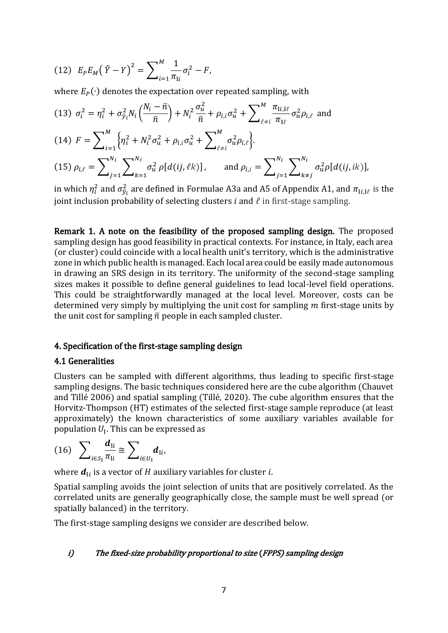(12) 
$$
E_P E_M (\hat{Y} - Y)^2 = \sum_{i=1}^M \frac{1}{\pi_{Ii}} \sigma_i^2 - F,
$$

where  $E_P(\cdot)$  denotes the expectation over repeated sampling, with

(13) 
$$
\sigma_i^2 = \eta_i^2 + \sigma_{\tilde{y}_i}^2 N_i \left( \frac{N_i - \bar{n}}{\bar{n}} \right) + N_i^2 \frac{\sigma_u^2}{\bar{n}} + \rho_{i,i} \sigma_u^2 + \sum_{\ell \neq i}^M \frac{\pi_{Ii,I\ell}}{\pi_{I\ell}} \sigma_u^2 \rho_{i,\ell}
$$
 and

(14) 
$$
F = \sum_{i=1}^{M} \left\{ \eta_i^2 + N_i^2 \sigma_u^2 + \rho_{i,i} \sigma_u^2 + \sum_{\ell \neq i}^{M} \sigma_u^2 \rho_{i,\ell} \right\}.
$$

(15) 
$$
\rho_{i,\ell} = \sum_{j=1}^{N_i} \sum_{k=1}^{N_\ell} \sigma_u^2 \rho[d(ij,\ell k)]
$$
, and  $\rho_{i,i} = \sum_{j=1}^{N_i} \sum_{k \neq j}^{N_i} \sigma_u^2 \rho[d(ij,ik)]$ ,

in which  $\eta_i^2$  and  $\sigma_{\tilde{y}_i}^2$  are defined in Formulae A3a and A5 of Appendix A1, and  $\pi_{\text{I}i,\text{I}\ell}$  is the joint inclusion probability of selecting clusters  $i$  and  $\ell$  in first-stage sampling.

Remark 1. A note on the feasibility of the proposed sampling design. The proposed sampling design has good feasibility in practical contexts. For instance, in Italy, each area (or cluster) could coincide with a local health unit's territory, which is the administrative zone in which public health is managed. Each local area could be easily made autonomous in drawing an SRS design in its territory. The uniformity of the second-stage sampling sizes makes it possible to define general guidelines to lead local-level field operations. This could be straightforwardly managed at the local level. Moreover, costs can be determined very simply by multiplying the unit cost for sampling  $m$  first-stage units by the unit cost for sampling  $\bar{n}$  people in each sampled cluster.

### 4. Specification of the first-stage sampling design

#### 4.1 Generalities

Clusters can be sampled with different algorithms, thus leading to specific first-stage sampling designs. The basic techniques considered here are the cube algorithm (Chauvet and Tillé 2006) and spatial sampling (Tillé, 2020). The cube algorithm ensures that the Horvitz-Thompson (HT) estimates of the selected first-stage sample reproduce (at least approximately) the known characteristics of some auxiliary variables available for population  $U_I$ . This can be expressed as

$$
(16)\quad \sum_{i\in S_1}\frac{d_{\mathrm{I}i}}{\pi_{\mathrm{I}i}}\cong \sum_{i\in U_1}d_{\mathrm{I}i},
$$

where  $\boldsymbol{d}_{\text{I}i}$  is a vector of  $H$  auxiliary variables for cluster  $i.$ 

Spatial sampling avoids the joint selection of units that are positively correlated. As the correlated units are generally geographically close, the sample must be well spread (or spatially balanced) in the territory.

The first-stage sampling designs we consider are described below.

#### i) The fixed-size probability proportional to size (FPPS) sampling design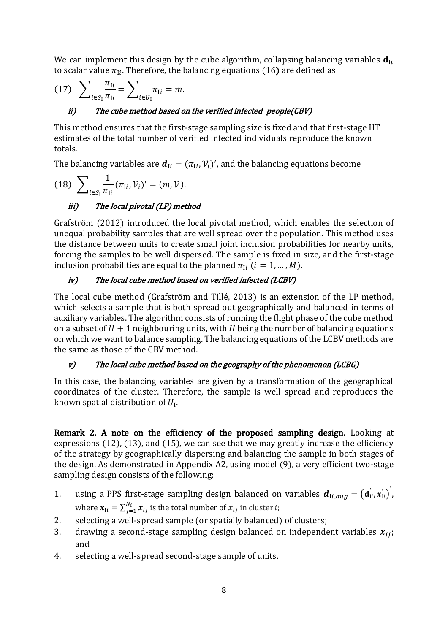We can implement this design by the cube algorithm, collapsing balancing variables  $\mathbf{d}_{\text{I}i}$ to scalar value  $\pi_{\text{I}i}$ . Therefore, the balancing equations (16) are defined as

(17) 
$$
\sum_{i \in S_1} \frac{\pi_{Ii}}{\pi_{Ii}} = \sum_{i \in U_1} \pi_{Ii} = m.
$$

### ii) The cube method based on the verified infected people(CBV)

This method ensures that the first-stage sampling size is fixed and that first-stage HT estimates of the total number of verified infected individuals reproduce the known totals.

The balancing variables are  $\boldsymbol{d}_{Ii} = (\pi_{Ii}, \mathcal{V}_i)'$ , and the balancing equations become

(18) 
$$
\sum_{i \in S_1} \frac{1}{\pi_{1i}} (\pi_{1i}, \mathcal{V}_i)' = (m, \mathcal{V}).
$$

# iii) The local pivotal (LP) method

Grafström (2012) introduced the local pivotal method, which enables the selection of unequal probability samples that are well spread over the population. This method uses the distance between units to create small joint inclusion probabilities for nearby units, forcing the samples to be well dispersed. The sample is fixed in size, and the first-stage inclusion probabilities are equal to the planned  $\pi_{\text{I}i}$  ( $i = 1, ..., M$ ).

### iv) The local cube method based on verified infected (LCBV)

The local cube method (Grafström and Tillé, 2013) is an extension of the LP method, which selects a sample that is both spread out geographically and balanced in terms of auxiliary variables. The algorithm consists of running the flight phase of the cube method on a subset of  $H + 1$  neighbouring units, with H being the number of balancing equations on which we want to balance sampling. The balancing equations of the LCBV methods are the same as those of the CBV method.

## v) The local cube method based on the geography of the phenomenon (LCBG)

In this case, the balancing variables are given by a transformation of the geographical coordinates of the cluster. Therefore, the sample is well spread and reproduces the known spatial distribution of  $U_{\rm I}$ .

Remark 2. A note on the efficiency of the proposed sampling design. Looking at expressions (12), (13), and (15), we can see that we may greatly increase the efficiency of the strategy by geographically dispersing and balancing the sample in both stages of the design. As demonstrated in Appendix A2, using model (9), a very efficient two-stage sampling design consists of the following:

- 1. using a PPS first-stage sampling design balanced on variables  $d_{\text{I}i,aug} = (d_{\text{I}i}^{'}, x_{\text{II}}^{'})$ , where  $\pmb{x}_{\text{I}i} = \sum_{j=1}^{N_i} \pmb{x}_{ij}$  is the total number of  $\pmb{x}_{ij}$  in cluster  $i$ ;
- 2. selecting a well-spread sample (or spatially balanced) of clusters;
- 3. drawing a second-stage sampling design balanced on independent variables  $x_{ij}$ ; and
- 4. selecting a well-spread second-stage sample of units.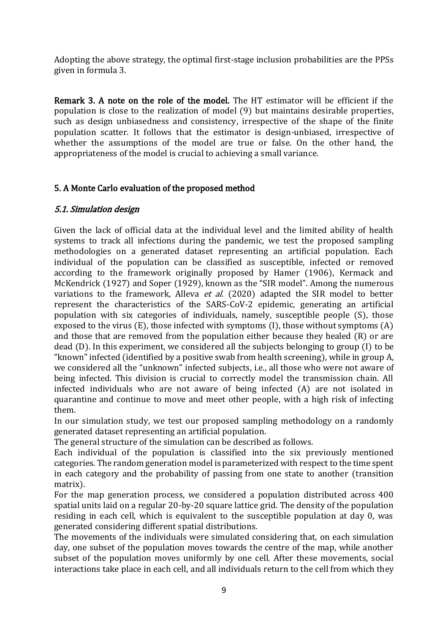Adopting the above strategy, the optimal first-stage inclusion probabilities are the PPSs given in formula 3.

Remark 3. A note on the role of the model. The HT estimator will be efficient if the population is close to the realization of model (9) but maintains desirable properties, such as design unbiasedness and consistency, irrespective of the shape of the finite population scatter. It follows that the estimator is design-unbiased, irrespective of whether the assumptions of the model are true or false. On the other hand, the appropriateness of the model is crucial to achieving a small variance.

### 5. A Monte Carlo evaluation of the proposed method

### 5.1. Simulation design

Given the lack of official data at the individual level and the limited ability of health systems to track all infections during the pandemic, we test the proposed sampling methodologies on a generated dataset representing an artificial population. Each individual of the population can be classified as susceptible, infected or removed according to the framework originally proposed by Hamer (1906), Kermack and McKendrick (1927) and Soper (1929), known as the "SIR model". Among the numerous variations to the framework, Alleva et al. (2020) adapted the SIR model to better represent the characteristics of the SARS-CoV-2 epidemic, generating an artificial population with six categories of individuals, namely, susceptible people (S), those exposed to the virus (E), those infected with symptoms (I), those without symptoms (A) and those that are removed from the population either because they healed (R) or are dead (D). In this experiment, we considered all the subjects belonging to group (I) to be "known" infected (identified by a positive swab from health screening), while in group A, we considered all the "unknown" infected subjects, i.e., all those who were not aware of being infected. This division is crucial to correctly model the transmission chain. All infected individuals who are not aware of being infected (A) are not isolated in quarantine and continue to move and meet other people, with a high risk of infecting them.

In our simulation study, we test our proposed sampling methodology on a randomly generated dataset representing an artificial population.

The general structure of the simulation can be described as follows.

Each individual of the population is classified into the six previously mentioned categories. The random generation model is parameterized with respect to the time spent in each category and the probability of passing from one state to another (transition matrix).

For the map generation process, we considered a population distributed across 400 spatial units laid on a regular 20-by-20 square lattice grid. The density of the population residing in each cell, which is equivalent to the susceptible population at day 0, was generated considering different spatial distributions.

The movements of the individuals were simulated considering that, on each simulation day, one subset of the population moves towards the centre of the map, while another subset of the population moves uniformly by one cell. After these movements, social interactions take place in each cell, and all individuals return to the cell from which they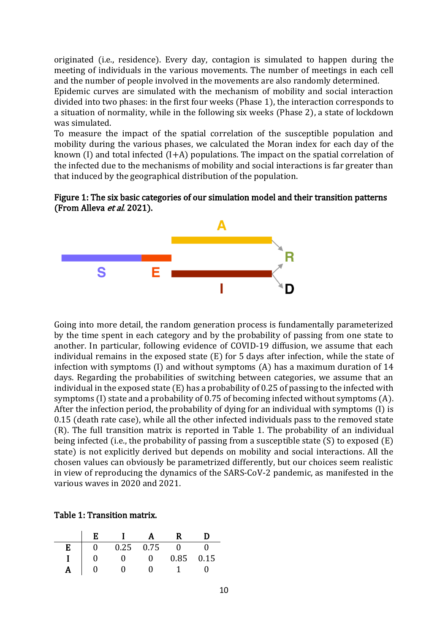originated (i.e., residence). Every day, contagion is simulated to happen during the meeting of individuals in the various movements. The number of meetings in each cell and the number of people involved in the movements are also randomly determined.

Epidemic curves are simulated with the mechanism of mobility and social interaction divided into two phases: in the first four weeks (Phase 1), the interaction corresponds to a situation of normality, while in the following six weeks (Phase 2), a state of lockdown was simulated.

To measure the impact of the spatial correlation of the susceptible population and mobility during the various phases, we calculated the Moran index for each day of the known (I) and total infected  $(I+A)$  populations. The impact on the spatial correlation of the infected due to the mechanisms of mobility and social interactions is far greater than that induced by the geographical distribution of the population.





Going into more detail, the random generation process is fundamentally parameterized by the time spent in each category and by the probability of passing from one state to another. In particular, following evidence of COVID-19 diffusion, we assume that each individual remains in the exposed state (E) for 5 days after infection, while the state of infection with symptoms (I) and without symptoms (A) has a maximum duration of 14 days. Regarding the probabilities of switching between categories, we assume that an individual in the exposed state (E) has a probability of 0.25 of passing to the infected with symptoms (I) state and a probability of 0.75 of becoming infected without symptoms (A). After the infection period, the probability of dying for an individual with symptoms (I) is 0.15 (death rate case), while all the other infected individuals pass to the removed state (R). The full transition matrix is reported in Table 1. The probability of an individual being infected (i.e., the probability of passing from a susceptible state (S) to exposed (E) state) is not explicitly derived but depends on mobility and social interactions. All the chosen values can obviously be parametrized differently, but our choices seem realistic in view of reproducing the dynamics of the SARS-CoV-2 pandemic, as manifested in the various waves in 2020 and 2021.

Table 1: Transition matrix.

|   | F. | $\mathbf{I}$ |             |          |      |
|---|----|--------------|-------------|----------|------|
| E |    |              | $0.25$ 0.75 | $\Omega$ |      |
|   |    | $\mathbf{0}$ | $\Omega$    | 0.85     | 0.15 |
|   |    |              |             |          |      |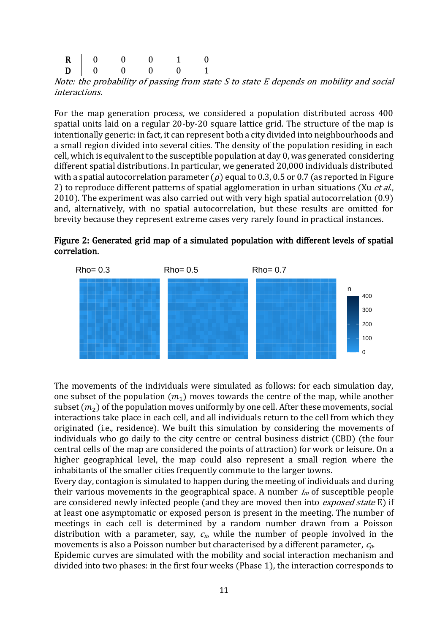| $\begin{tabular}{c cccccc} R & 0 & 0 & 0 & 1 & 0 \\ D & 0 & 0 & 0 & 0 & 1 \\ \end{tabular}$ |  |  |
|---------------------------------------------------------------------------------------------|--|--|
|                                                                                             |  |  |

Note: the probability of passing from state S to state E depends on mobility and social interactions.

For the map generation process, we considered a population distributed across 400 spatial units laid on a regular 20-by-20 square lattice grid. The structure of the map is intentionally generic: in fact, it can represent both a city divided into neighbourhoods and a small region divided into several cities. The density of the population residing in each cell, which is equivalent to the susceptible population at day 0, was generated considering different spatial distributions. In particular, we generated 20,000 individuals distributed with a spatial autocorrelation parameter ( $\rho$ ) equal to 0.3, 0.5 or 0.7 (as reported in Figure 2) to reproduce different patterns of spatial agglomeration in urban situations (Xu *et al.*, 2010). The experiment was also carried out with very high spatial autocorrelation (0.9) and, alternatively, with no spatial autocorrelation, but these results are omitted for brevity because they represent extreme cases very rarely found in practical instances.





The movements of the individuals were simulated as follows: for each simulation day, one subset of the population  $(m_1)$  moves towards the centre of the map, while another subset  $(m_2)$  of the population moves uniformly by one cell. After these movements, social interactions take place in each cell, and all individuals return to the cell from which they originated (i.e., residence). We built this simulation by considering the movements of individuals who go daily to the city centre or central business district (CBD) (the four central cells of the map are considered the points of attraction) for work or leisure. On a higher geographical level, the map could also represent a small region where the inhabitants of the smaller cities frequently commute to the larger towns.

Every day, contagion is simulated to happen during the meeting of individuals and during their various movements in the geographical space. A number  $i_m$  of susceptible people are considered newly infected people (and they are moved then into *exposed state* E) if at least one asymptomatic or exposed person is present in the meeting. The number of meetings in each cell is determined by a random number drawn from a Poisson distribution with a parameter, say,  $c_n$ , while the number of people involved in the movements is also a Poisson number but characterised by a different parameter,  $c_p$ . Epidemic curves are simulated with the mobility and social interaction mechanism and divided into two phases: in the first four weeks (Phase 1), the interaction corresponds to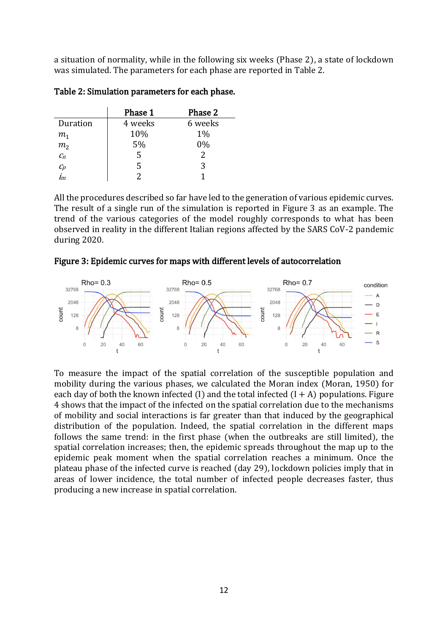a situation of normality, while in the following six weeks (Phase 2), a state of lockdown was simulated. The parameters for each phase are reported in Table 2.

|                | Phase 1 | Phase 2 |
|----------------|---------|---------|
| Duration       | 4 weeks | 6 weeks |
| m <sub>1</sub> | 10%     | $1\%$   |
| m <sub>2</sub> | 5%      | 0%      |
| C <sub>n</sub> | 5       | 2       |
| $c_p$          | 5       | 3       |
| i<br>m         |         |         |

Table 2: Simulation parameters for each phase.

All the procedures described so far have led to the generation of various epidemic curves. The result of a single run of the simulation is reported in Figure 3 as an example. The trend of the various categories of the model roughly corresponds to what has been observed in reality in the different Italian regions affected by the SARS CoV-2 pandemic during 2020.

### Figure 3: Epidemic curves for maps with different levels of autocorrelation



To measure the impact of the spatial correlation of the susceptible population and mobility during the various phases, we calculated the Moran index (Moran, 1950) for each day of both the known infected (I) and the total infected  $(I + A)$  populations. Figure 4 shows that the impact of the infected on the spatial correlation due to the mechanisms of mobility and social interactions is far greater than that induced by the geographical distribution of the population. Indeed, the spatial correlation in the different maps follows the same trend: in the first phase (when the outbreaks are still limited), the spatial correlation increases; then, the epidemic spreads throughout the map up to the epidemic peak moment when the spatial correlation reaches a minimum. Once the plateau phase of the infected curve is reached (day 29), lockdown policies imply that in areas of lower incidence, the total number of infected people decreases faster, thus producing a new increase in spatial correlation.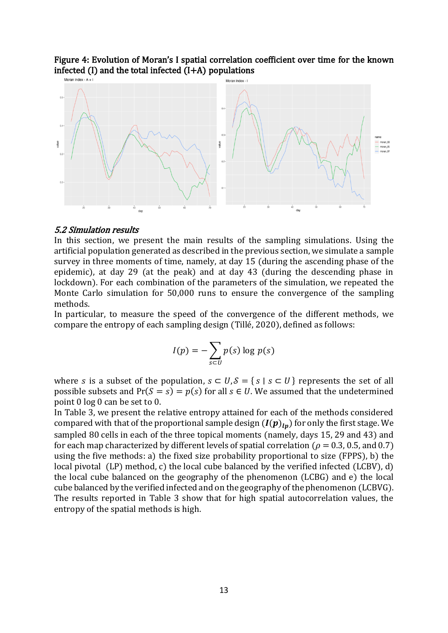# Figure 4: Evolution of Moran's I spatial correlation coefficient over time for the known infected (I) and the total infected (I+A) populations



#### 5.2 Simulation results

In this section, we present the main results of the sampling simulations. Using the artificial population generated as described in the previous section, we simulate a sample survey in three moments of time, namely, at day 15 (during the ascending phase of the epidemic), at day 29 (at the peak) and at day 43 (during the descending phase in lockdown). For each combination of the parameters of the simulation, we repeated the Monte Carlo simulation for 50,000 runs to ensure the convergence of the sampling methods.

In particular, to measure the speed of the convergence of the different methods, we compare the entropy of each sampling design (Tillé, 2020), defined as follows:

$$
I(p) = -\sum_{s \subset U} p(s) \log p(s)
$$

where *s* is a subset of the population,  $s \subset U$ ,  $\mathcal{S} = \{ s \mid s \subset U \}$  represents the set of all possible subsets and  $Pr(S = s) = p(s)$  for all  $s \in U$ . We assumed that the undetermined point 0 log 0 can be set to 0.

In Table 3, we present the relative entropy attained for each of the methods considered compared with that of the proportional sample design  $(I(p)_{ln})$  for only the first stage. We sampled 80 cells in each of the three topical moments (namely, days 15, 29 and 43) and for each map characterized by different levels of spatial correlation ( $\rho = 0.3, 0.5,$  and 0.7) using the five methods: a) the fixed size probability proportional to size (FPPS), b) the local pivotal (LP) method, c) the local cube balanced by the verified infected (LCBV), d) the local cube balanced on the geography of the phenomenon (LCBG) and e) the local cube balanced by the verified infected and on the geography of the phenomenon (LCBVG). The results reported in Table 3 show that for high spatial autocorrelation values, the entropy of the spatial methods is high.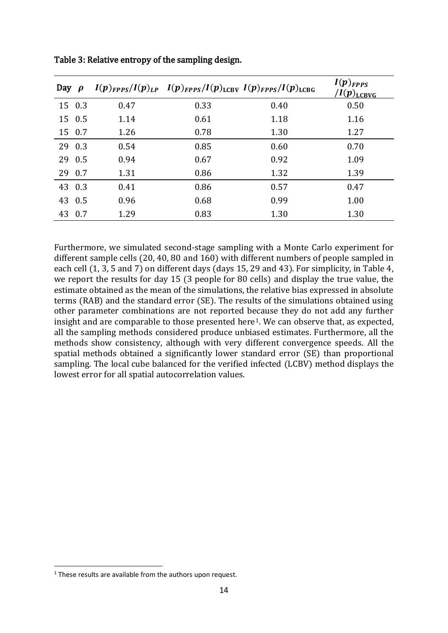| Day $\rho$ |        |      | $I(p)_{FPPS}/I(p)_{LP}$ $I(p)_{FPPS}/I(p)_{LCBV}$ $I(p)_{FPPS}/I(p)_{LCBG}$ |      | $I(p)_{FPPS}$<br>/ $I(\boldsymbol{p})_{\text{\text{\textup{LCBVG}}}}$ |
|------------|--------|------|-----------------------------------------------------------------------------|------|-----------------------------------------------------------------------|
|            | 15 0.3 | 0.47 | 0.33                                                                        | 0.40 | 0.50                                                                  |
|            | 15 0.5 | 1.14 | 0.61                                                                        | 1.18 | 1.16                                                                  |
| 15 0.7     |        | 1.26 | 0.78                                                                        | 1.30 | 1.27                                                                  |
| 29 0.3     |        | 0.54 | 0.85                                                                        | 0.60 | 0.70                                                                  |
| 29 0.5     |        | 0.94 | 0.67                                                                        | 0.92 | 1.09                                                                  |
| 29 0.7     |        | 1.31 | 0.86                                                                        | 1.32 | 1.39                                                                  |
| 43 0.3     |        | 0.41 | 0.86                                                                        | 0.57 | 0.47                                                                  |
| 43 0.5     |        | 0.96 | 0.68                                                                        | 0.99 | 1.00                                                                  |
| 43 0.7     |        | 1.29 | 0.83                                                                        | 1.30 | 1.30                                                                  |

Table 3: Relative entropy of the sampling design.

Furthermore, we simulated second-stage sampling with a Monte Carlo experiment for different sample cells (20, 40, 80 and 160) with different numbers of people sampled in each cell (1, 3, 5 and 7) on different days (days 15, 29 and 43). For simplicity, in Table 4, we report the results for day 15 (3 people for 80 cells) and display the true value, the estimate obtained as the mean of the simulations, the relative bias expressed in absolute terms (RAB) and the standard error (SE). The results of the simulations obtained using other parameter combinations are not reported because they do not add any further insight and are comparable to those presented here<sup>1</sup>. We can observe that, as expected, all the sampling methods considered produce unbiased estimates. Furthermore, all the methods show consistency, although with very different convergence speeds. All the spatial methods obtained a significantly lower standard error (SE) than proportional sampling. The local cube balanced for the verified infected (LCBV) method displays the lowest error for all spatial autocorrelation values.

<sup>&</sup>lt;sup>1</sup> These results are available from the authors upon request.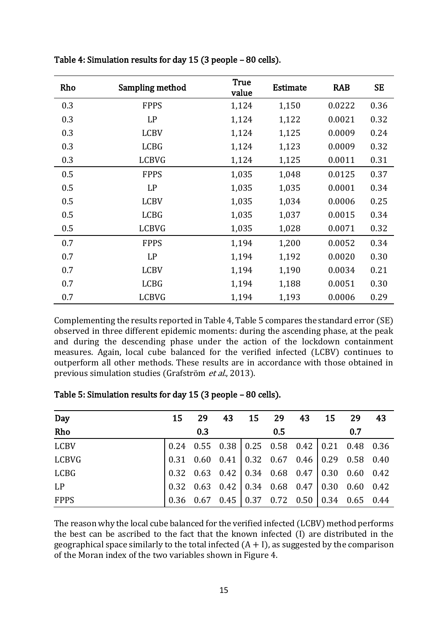| Rho | Sampling method | <b>True</b><br>value | <b>Estimate</b> | <b>RAB</b> | <b>SE</b> |
|-----|-----------------|----------------------|-----------------|------------|-----------|
| 0.3 | <b>FPPS</b>     | 1,124                | 1,150           | 0.0222     | 0.36      |
| 0.3 | LP              | 1,124                | 1,122           | 0.0021     | 0.32      |
| 0.3 | <b>LCBV</b>     | 1,124                | 1,125           | 0.0009     | 0.24      |
| 0.3 | <b>LCBG</b>     | 1,124                | 1,123           | 0.0009     | 0.32      |
| 0.3 | <b>LCBVG</b>    | 1,124                | 1,125           | 0.0011     | 0.31      |
| 0.5 | <b>FPPS</b>     | 1,035                | 1,048           | 0.0125     | 0.37      |
| 0.5 | LP              | 1,035                | 1,035           | 0.0001     | 0.34      |
| 0.5 | <b>LCBV</b>     | 1,035                | 1,034           | 0.0006     | 0.25      |
| 0.5 | <b>LCBG</b>     | 1,035                | 1,037           | 0.0015     | 0.34      |
| 0.5 | <b>LCBVG</b>    | 1,035                | 1,028           | 0.0071     | 0.32      |
| 0.7 | <b>FPPS</b>     | 1,194                | 1,200           | 0.0052     | 0.34      |
| 0.7 | LP              | 1,194                | 1,192           | 0.0020     | 0.30      |
| 0.7 | <b>LCBV</b>     | 1,194                | 1,190           | 0.0034     | 0.21      |
| 0.7 | <b>LCBG</b>     | 1,194                | 1,188           | 0.0051     | 0.30      |
| 0.7 | <b>LCBVG</b>    | 1,194                | 1,193           | 0.0006     | 0.29      |

Table 4: Simulation results for day 15 (3 people – 80 cells).

Complementing the results reported in Table 4, Table 5 compares the standard error (SE) observed in three different epidemic moments: during the ascending phase, at the peak and during the descending phase under the action of the lockdown containment measures. Again, local cube balanced for the verified infected (LCBV) continues to outperform all other methods. These results are in accordance with those obtained in previous simulation studies (Grafström et al., 2013).

| Day          | 15 | 29  | 43                                                                                               | 15 29 | 43 | 15 | -29 | -43 |
|--------------|----|-----|--------------------------------------------------------------------------------------------------|-------|----|----|-----|-----|
| Rho          |    | 0.3 |                                                                                                  | 0.5   |    |    | 0.7 |     |
| <b>LCBV</b>  |    |     | $\begin{array}{cccc c} 0.24 & 0.55 & 0.38 & 0.25 & 0.58 & 0.42 & 0.21 & 0.48 & 0.36 \end{array}$ |       |    |    |     |     |
| <b>LCBVG</b> |    |     | $0.31$ $0.60$ $0.41$ $0.32$ $0.67$ $0.46$ $0.29$ $0.58$ $0.40$                                   |       |    |    |     |     |
| <b>LCBG</b>  |    |     | $0.32$ $0.63$ $0.42$ $0.34$ $0.68$ $0.47$ $0.30$ $0.60$ $0.42$                                   |       |    |    |     |     |
| <b>LP</b>    |    |     | $0.32$ $0.63$ $0.42$ $0.34$ $0.68$ $0.47$ $0.30$ $0.60$ $0.42$                                   |       |    |    |     |     |
| <b>FPPS</b>  |    |     | $0.36$ $0.67$ $0.45$ $0.37$ $0.72$ $0.50$ $0.34$ $0.65$ $0.44$                                   |       |    |    |     |     |

Table 5: Simulation results for day 15 (3 people – 80 cells).

The reason why the local cube balanced for the verified infected (LCBV) method performs the best can be ascribed to the fact that the known infected (I) are distributed in the geographical space similarly to the total infected  $(A + I)$ , as suggested by the comparison of the Moran index of the two variables shown in Figure 4.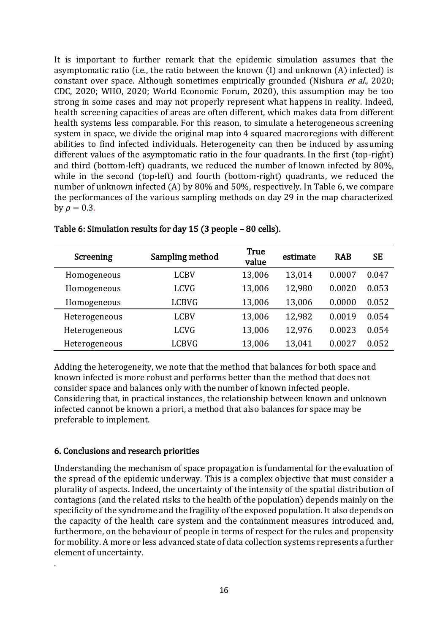It is important to further remark that the epidemic simulation assumes that the asymptomatic ratio (i.e., the ratio between the known (I) and unknown (A) infected) is constant over space. Although sometimes empirically grounded (Nishura et al., 2020; CDC, 2020; WHO, 2020; World Economic Forum, 2020), this assumption may be too strong in some cases and may not properly represent what happens in reality. Indeed, health screening capacities of areas are often different, which makes data from different health systems less comparable. For this reason, to simulate a heterogeneous screening system in space, we divide the original map into 4 squared macroregions with different abilities to find infected individuals. Heterogeneity can then be induced by assuming different values of the asymptomatic ratio in the four quadrants. In the first (top-right) and third (bottom-left) quadrants, we reduced the number of known infected by 80%, while in the second (top-left) and fourth (bottom-right) quadrants, we reduced the number of unknown infected (A) by 80% and 50%, respectively. In Table 6, we compare the performances of the various sampling methods on day 29 in the map characterized by  $\rho = 0.3$ .

| Screening     | Sampling method | <b>True</b><br>value | estimate | <b>RAB</b> | <b>SE</b> |
|---------------|-----------------|----------------------|----------|------------|-----------|
| Homogeneous   | <b>LCBV</b>     | 13,006               | 13,014   | 0.0007     | 0.047     |
| Homogeneous   | <b>LCVG</b>     | 13,006               | 12,980   | 0.0020     | 0.053     |
| Homogeneous   | <b>LCBVG</b>    | 13,006               | 13,006   | 0.0000     | 0.052     |
| Heterogeneous | <b>LCBV</b>     | 13,006               | 12,982   | 0.0019     | 0.054     |
| Heterogeneous | <b>LCVG</b>     | 13,006               | 12,976   | 0.0023     | 0.054     |
| Heterogeneous | <b>LCBVG</b>    | 13,006               | 13,041   | 0.0027     | 0.052     |

Table 6: Simulation results for day 15 (3 people – 80 cells).

Adding the heterogeneity, we note that the method that balances for both space and known infected is more robust and performs better than the method that does not consider space and balances only with the number of known infected people. Considering that, in practical instances, the relationship between known and unknown infected cannot be known a priori, a method that also balances for space may be preferable to implement.

### 6. Conclusions and research priorities

.

Understanding the mechanism of space propagation is fundamental for the evaluation of the spread of the epidemic underway. This is a complex objective that must consider a plurality of aspects. Indeed, the uncertainty of the intensity of the spatial distribution of contagions (and the related risks to the health of the population) depends mainly on the specificity of the syndrome and the fragility of the exposed population. It also depends on the capacity of the health care system and the containment measures introduced and, furthermore, on the behaviour of people in terms of respect for the rules and propensity for mobility. A more or less advanced state of data collection systems represents a further element of uncertainty.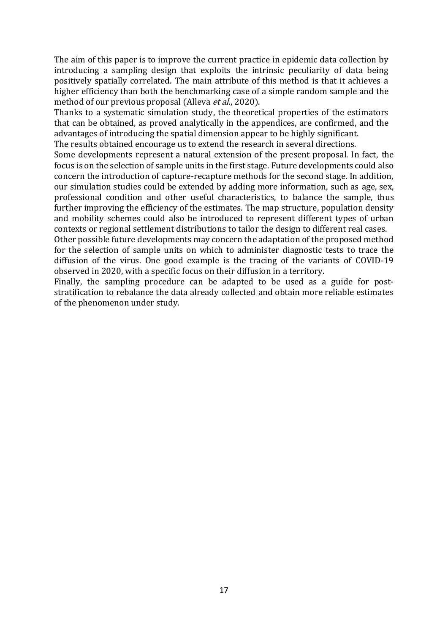The aim of this paper is to improve the current practice in epidemic data collection by introducing a sampling design that exploits the intrinsic peculiarity of data being positively spatially correlated. The main attribute of this method is that it achieves a higher efficiency than both the benchmarking case of a simple random sample and the method of our previous proposal (Alleva *et al.*, 2020).

Thanks to a systematic simulation study, the theoretical properties of the estimators that can be obtained, as proved analytically in the appendices, are confirmed, and the advantages of introducing the spatial dimension appear to be highly significant. The results obtained encourage us to extend the research in several directions.

Some developments represent a natural extension of the present proposal. In fact, the focus is on the selection of sample units in the first stage. Future developments could also concern the introduction of capture-recapture methods for the second stage. In addition, our simulation studies could be extended by adding more information, such as age, sex, professional condition and other useful characteristics, to balance the sample, thus further improving the efficiency of the estimates. The map structure, population density and mobility schemes could also be introduced to represent different types of urban contexts or regional settlement distributions to tailor the design to different real cases.

Other possible future developments may concern the adaptation of the proposed method for the selection of sample units on which to administer diagnostic tests to trace the diffusion of the virus. One good example is the tracing of the variants of COVID-19 observed in 2020, with a specific focus on their diffusion in a territory.

Finally, the sampling procedure can be adapted to be used as a guide for poststratification to rebalance the data already collected and obtain more reliable estimates of the phenomenon under study.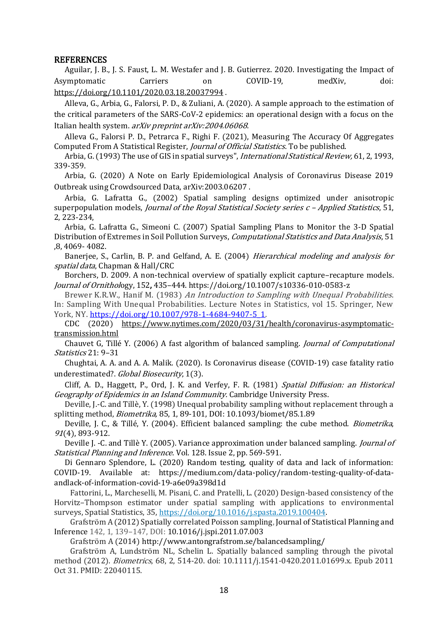#### **REFERENCES**

Aguilar, J. B., J. S. Faust, L. M. Westafer and J. B. Gutierrez. 2020. Investigating the Impact of Asymptomatic Carriers on COVID-19, medXiv, doi: <https://doi.org/10.1101/2020.03.18.20037994> .

Alleva, G., Arbia, G., Falorsi, P. D., & Zuliani, A. (2020). A sample approach to the estimation of the critical parameters of the SARS-CoV-2 epidemics: an operational design with a focus on the Italian health system. arXiv preprint arXiv:2004.06068.

Alleva G., Falorsi P. D., Petrarca F., Righi F. (2021), Measuring The Accuracy Of Aggregates Computed From A Statistical Register, Journal of Official Statistics. To be published.

Arbia, G. (1993) The use of GIS in spatial surveys", *International Statistical Review*, 61, 2, 1993, 339-359.

Arbia, G. (2020) A Note on Early Epidemiological Analysis of Coronavirus Disease 2019 Outbreak using Crowdsourced Data, [arXiv:2003.06207](https://arxiv.org/abs/2003.06207) .

Arbia, G. Lafratta G., (2002) Spatial sampling designs optimized under anisotropic superpopulation models, *Journal of the Royal Statistical Society series*  $c$  *- Applied Statistics*, 51, 2, 223-234,

Arbia, G. Lafratta G., Simeoni C. (2007) Spatial Sampling Plans to Monitor the 3-D Spatial Distribution of Extremes in Soil Pollution Surveys, Computational Statistics and Data Analysis, 51 ,8, 4069- 4082.

Banerjee, S., Carlin, B. P. and Gelfand, A. E. (2004) Hierarchical modeling and analysis for spatial data, Chapman & Hall/CRC

Borchers, D. 2009. A non-technical overview of spatially explicit capture–recapture models. Journal of Ornithology, 152, 435–444. https://doi.org/10.1007/s10336-010-0583-z

Brewer K.R.W., Hanif M. (1983) An Introduction to Sampling with Unequal Probabilities. In: Sampling With Unequal Probabilities. Lecture Notes in Statistics, vol 15. Springer, New York, NY. [https://doi.org/10.1007/978-1-4684-9407-5\\_1.](https://doi.org/10.1007/978-1-4684-9407-5_1)

CDC (2020) [https://www.nytimes.com/2020/03/31/health/coronavirus-asymptomatic](https://www.nytimes.com/2020/03/31/health/coronavirus-asymptomatic-transmission.html)[transmission.html](https://www.nytimes.com/2020/03/31/health/coronavirus-asymptomatic-transmission.html)

Chauvet G, Tillé Y. (2006) A fast algorithm of balanced sampling. *Journal of Computational* Statistics 21: 9–31

Chughtai, A. A. and A. A. Malik. (2020). Is Coronavirus disease (COVID-19) case fatality ratio underestimated?. Global Biosecurity, 1(3).

Cliff, A. D., Haggett, P., Ord, J. K. and Verfey, F. R. (1981) Spatial Diffusion: an Historical Geography of Epidemics in an Island Community. Cambridge University Press.

Deville, J.-C. and Tillè, Y. (1998) Unequal probability sampling without replacement through a splitting method, Biometrika, 85, 1, 89-101, DOI: 10.1093/biomet/85.1.89

Deville, J. C., & Tillé, Y. (2004). Efficient balanced sampling: the cube method. *Biometrika*, <sup>91</sup>(4), 893-912.

Deville J. -C. and Tillè Y. (2005). Variance approximation under balanced sampling. *Journal of* Statistical Planning and Inference. Vol. 128. Issue 2, pp. 569-591.

Di Gennaro Splendore, L. (2020) Random testing, quality of data and lack of information: COVID-19. Available at: https://medium.com/data-policy/random-testing-quality-of-dataandlack-of-information-covid-19-a6e09a398d1d

Fattorini, L., Marcheselli, M. Pisani, C. and Pratelli, L. (2020) Design-based consistency of the Horvitz–Thompson estimator under spatial sampling with applications to environmental surveys, Spatial Statistics, 35[, https://doi.org/10.1016/j.spasta.2019.100404.](https://doi.org/10.1016/j.spasta.2019.100404)

Grafström A (2012) Spatially correlated Poisson sampling, Journal of Statistical Planning and Inference 142, 1, 139–147, DOI: 10.1016/j.jspi.2011.07.003

Grafström A (2014) http://www.antongrafstrom.se/balancedsampling/

Grafström A, Lundström NL, Schelin L. Spatially balanced sampling through the pivotal method (2012). Biometrics, 68, 2, 514-20. doi: 10.1111/j.1541-0420.2011.01699.x. Epub 2011 Oct 31. PMID: 22040115.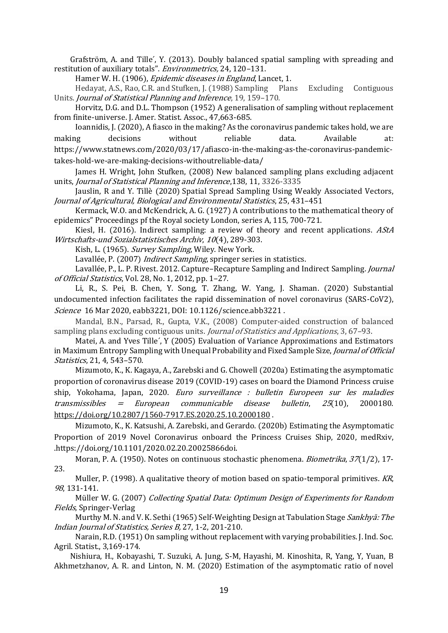Grafström, A. and Tille', Y. (2013). Doubly balanced spatial sampling with spreading and restitution of auxiliary totals". Environmetrics, 24, 120–131.

Hamer W. H. (1906), Epidemic diseases in England, Lancet, 1.

Hedayat, A.S., Rao, C.R. and Stufken, J. (1988) Sampling Plans Excluding Contiguous Units. Journal of Statistical Planning and Inference, 19, 159–170.

Horvitz, D.G. and D.L. Thompson (1952) A generalisation of sampling without replacement from finite-universe. J. Amer. Statist. Assoc., 47,663-685.

Ioannidis, J. (2020), A fiasco in the making? As the coronavirus pandemic takes hold, we are making decisions without reliable data. Available at:

https://www.statnews.com/2020/03/17/afiasco-in-the-making-as-the-coronavirus-pandemic-

takes-hold-we-are-making-decisions-withoutreliable-data/

James H. Wright, John Stufken, (2008) New balanced sampling plans excluding adjacent units, Journal of Statistical Planning and Inference,138, 11, 3326-3335

Jauslin, R and Y. Tillè (2020) Spatial Spread Sampling Using Weakly Associated Vectors, Journal of Agricultural, Biological and Environmental Statistics, 25, 431–451

Kermack, W.O. and McKendrick, A. G. (1927) A contributions to the mathematical theory of epidemics" Proceedings pf the Royal society London, series A, 115, 700-721.

Kiesl, H. (2016). Indirect sampling: a review of theory and recent applications. AStA Wirtschafts-und Sozialstatistisches Archiv, 10(4), 289-303.

Kish, L. (1965). Survey Sampling, Wiley. New York.

Lavallée, P. (2007) *Indirect Sampling*, springer series in statistics.

Lavallée, P., L. P. Rivest. 2012. Capture–Recapture Sampling and Indirect Sampling. Journal of Official Statistics, Vol. 28, No. 1, 2012, pp. 1–27.

Li, R., S. Pei, B. Chen, Y. Song, T. Zhang, W. Yang, J. Shaman. (2020) Substantial undocumented infection facilitates the rapid dissemination of novel coronavirus (SARS-CoV2), Science 16 Mar 2020, eabb3221, DOI: 10.1126/science.abb3221 .

Mandal, B.N., Parsad, R., Gupta, V.K., (2008) Computer-aided construction of balanced sampling plans excluding contiguous units. *Journal of Statistics and Applications*, 3, 67–93.

Matei, A. and Yves Tille´, Y (2005) Evaluation of Variance Approximations and Estimators in Maximum Entropy Sampling with Unequal Probability and Fixed Sample Size, Journal of Official Statistics, 21, 4, 543–570.

Mizumoto, K., K. Kagaya, A., Zarebski and G. Chowell (2020a) Estimating the asymptomatic proportion of coronavirus disease 2019 (COVID-19) cases on board the Diamond Princess cruise ship, Yokohama, Japan, 2020. Euro surveillance : bulletin Europeen sur les maladies transmissibles  $=$  European communicable disease bulletin,  $25(10)$ , 2000180. <https://doi.org/10.2807/1560-7917.ES.2020.25.10.2000180> .

Mizumoto, K., K. Katsushi, A. Zarebski, and Gerardo. (2020b) Estimating the Asymptomatic Proportion of 2019 Novel Coronavirus onboard the Princess Cruises Ship, 2020, medRxiv, .https://doi.org/10.1101/2020.02.20.20025866doi.

Moran, P. A. (1950). Notes on continuous stochastic phenomena. *Biometrika*, 37(1/2), 17-23.

Muller, P. (1998). A qualitative theory of motion based on spatio-temporal primitives. KR, <sup>98</sup>, 131-141.

Müller W. G. (2007) Collecting Spatial Data: Optimum Design of Experiments for Random Fields, Springer-Verlag

Murthy M. N. and V. K. Sethi (1965) Self-Weighting Design at Tabulation Stage Sankhyā: The Indian Journal of Statistics, Series B, 27, 1-2, 201-210.

Narain, R.D. (1951) On sampling without replacement with varying probabilities. J. Ind. Soc. Agril. Statist., 3,169-174.

Nishiura, H., Kobayashi, T. Suzuki, A. Jung, S-M, Hayashi, M. Kinoshita, R, Yang, Y, Yuan, B Akhmetzhanov, A. R. and Linton, N. M. (2020) Estimation of the asymptomatic ratio of novel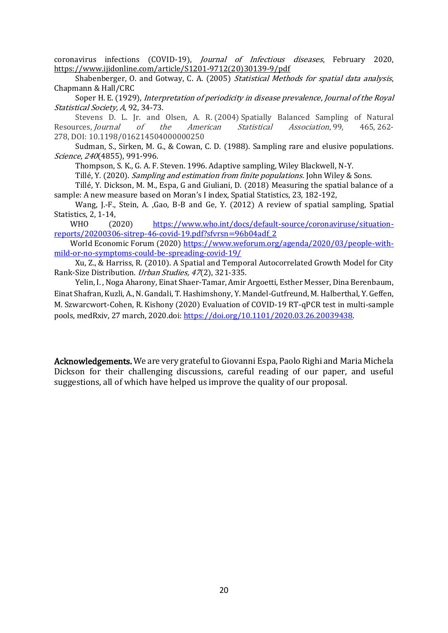coronavirus infections (COVID-19), Journal of Infectious diseases, February 2020, [https://www.ijidonline.com/article/S1201-9712\(20\)30139-9/pdf](https://www.ijidonline.com/article/S1201-9712(20)30139-9/pdf)

Shabenberger, O. and Gotway, C. A. (2005) Statistical Methods for spatial data analysis, Chapmann & Hall/CRC

Soper H. E. (1929), Interpretation of periodicity in disease prevalence, Journal of the Royal Statistical Society, A, 92, 34-73.

Stevens D. L. Jr. and Olsen, A. R. (2004) Spatially Balanced Sampling of Natural Resources, Journal of the American Statistical Association, 99, 465, 262- 278, DOI: 10.1198/016214504000000250

Sudman, S., Sirken, M. G., & Cowan, C. D. (1988). Sampling rare and elusive populations. Science, 240(4855), 991-996.

Thompson, S. K., G. A. F. Steven. 1996. Adaptive sampling, Wiley Blackwell, N-Y.

Tillé, Y. (2020). Sampling and estimation from finite populations. John Wiley & Sons.

Tillé, Y. Dickson, M. M., Espa, G and Giuliani, D. (2018) Measuring the spatial balance of a sample: A new measure based on Moran's I index, Spatial Statistics, 23, 182-192,

Wang, J.-F., Stein, A. ,Gao, B-B and Ge, Y. (2012) A review of spatial sampling, Spatial Statistics, 2, 1-14,

WHO (2020) [https://www.who.int/docs/default-source/coronaviruse/situation](https://www.who.int/docs/default-source/coronaviruse/situation-reports/20200306-sitrep-46-covid-19.pdf?sfvrsn=96b04adf_2)[reports/20200306-sitrep-46-covid-19.pdf?sfvrsn=96b04adf\\_2](https://www.who.int/docs/default-source/coronaviruse/situation-reports/20200306-sitrep-46-covid-19.pdf?sfvrsn=96b04adf_2)

World Economic Forum (2020) [https://www.weforum.org/agenda/2020/03/people-with](https://www.weforum.org/agenda/2020/03/people-with-mild-or-no-symptoms-could-be-spreading-covid-19/)[mild-or-no-symptoms-could-be-spreading-covid-19/](https://www.weforum.org/agenda/2020/03/people-with-mild-or-no-symptoms-could-be-spreading-covid-19/)

Xu, Z., & Harriss, R. (2010). A Spatial and Temporal Autocorrelated Growth Model for City Rank-Size Distribution. Urban Studies, <sup>47</sup>(2), 321-335.

Yelin, I. , Noga Aharony, Einat Shaer-Tamar, Amir Argoetti, Esther Messer, Dina Berenbaum, Einat Shafran, Kuzli, A., N. Gandali, T. Hashimshony, Y. Mandel-Gutfreund, M. Halberthal, Y. Geffen, M. Szwarcwort-Cohen, R. Kishony (2020) Evaluation of COVID-19 RT-qPCR test in multi-sample pools, medRxiv, 27 march, 2020.doi: [https://doi.org/10.1101/2020.03.26.20039438.](https://doi.org/10.1101/2020.03.26.20039438)

Acknowledgements. We are very grateful to Giovanni Espa, Paolo Righi and Maria Michela Dickson for their challenging discussions, careful reading of our paper, and useful suggestions, all of which have helped us improve the quality of our proposal.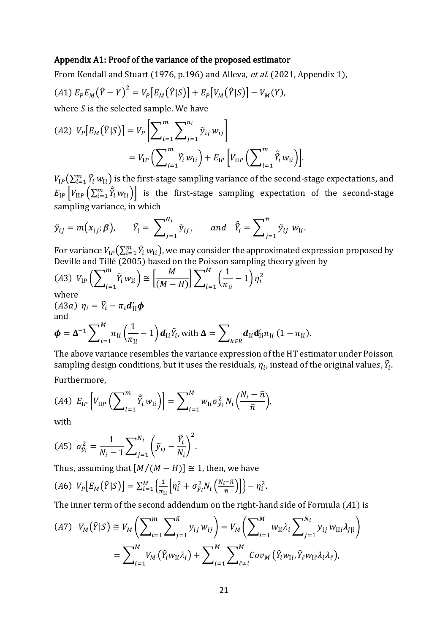#### Appendix A1: Proof of the variance of the proposed estimator

From Kendall and Stuart (1976, p.196) and Alleva, et al. (2021, Appendix 1),

$$
(A1) E_P E_M(\hat{Y} - Y)^2 = V_P [E_M(\hat{Y}|S)] + E_P [V_M(\hat{Y}|S)] - V_M(Y),
$$

where  $S$  is the selected sample. We have

$$
(A2) V_P[E_M(\hat{Y}|S)] = V_P\left[\sum_{i=1}^m \sum_{j=1}^{n_i} \tilde{y}_{ij} w_{ij}\right]
$$
  
=  $V_{IP}\left(\sum_{i=1}^m \tilde{Y}_i w_{1i}\right) + E_{IP}\left[V_{IIP}\left(\sum_{i=1}^m \hat{\tilde{Y}}_i w_{1i}\right)\right].$ 

 $V_{\text{IP}}\big(\sum_{i=1}^m \tilde{Y}_i\,w_{\text{I}i}\big)$  is the first-stage sampling variance of the second-stage expectations, and  $E_{IP}\left[V_{IP}\left(\sum_{i=1}^m\hat{Y}_i w_{1i}\right)\right]$  is the first-stage sampling expectation of the second-stage sampling variance, in which

$$
\tilde{y}_{ij} = m(x_{ij}; \beta), \quad \tilde{Y}_i = \sum_{j=1}^{N_i} \tilde{y}_{ij}, \quad \text{and} \quad \hat{\tilde{Y}}_i = \sum_{j=1}^{\bar{n}} \tilde{y}_{ij} w_{1i}.
$$

For variance  $V_{\text{IP}}\big(\sum_{i=1}^m \tilde{Y}_i|w_{\text{I}i}\big)$ , we may consider the approximated expression proposed by Deville and Tillé (2005) based on the Poisson sampling theory given by

$$
(A3) V_{IP} \left( \sum_{i=1}^{m} \tilde{Y}_i w_{li} \right) \cong \left[ \frac{M}{(M-H)} \right] \sum_{i=1}^{M} \left( \frac{1}{\pi_{li}} - 1 \right) \eta_i^2
$$
  
where

$$
(A3a) \ \eta_i = \tilde{Y}_i - \pi_i \mathbf{d}_{\text{li}}' \boldsymbol{\phi}
$$
\nand

$$
\boldsymbol{\phi} = \boldsymbol{\Delta}^{-1} \sum_{i=1}^{M} \pi_{Ii} \left( \frac{1}{\pi_{Ii}} - 1 \right) \boldsymbol{d}_{Ii} \tilde{Y}_{i}, \text{with } \boldsymbol{\Delta} = \sum_{k \in R} \boldsymbol{d}_{Ii} \boldsymbol{d}_{Ii}' \pi_{Ii} \ (1 - \pi_{Ii}).
$$

The above variance resembles the variance expression of the HT estimator under Poisson sampling design conditions, but it uses the residuals,  $\eta_i$ , instead of the original values,  $\tilde{Y}_i$ . Furthermore,

$$
(A4) E_{IP} \left[ V_{IIP} \left( \sum_{i=1}^{m} \hat{Y}_i w_{1i} \right) \right] = \sum_{i=1}^{M} w_{1i} \sigma_{\tilde{y}_i}^2 N_i \left( \frac{N_i - \bar{n}}{\bar{n}} \right),
$$

with

$$
(A5) \ \sigma_{\tilde{y}_i}^2 = \frac{1}{N_i - 1} \sum_{j=1}^{N_i} \left( \tilde{y}_{ij} - \frac{\tilde{Y}_i}{N_i} \right)^2.
$$

Thus, assuming that  $[M/(M - H)] \cong 1$ , then, we have

$$
(A6) V_P[E_M(\hat{Y}|S)] = \sum_{i=1}^{M} \left\{ \frac{1}{\pi_{li}} \left[ \eta_i^2 + \sigma_{\tilde{y}_i}^2 N_i \left( \frac{N_i - \bar{n}}{\bar{n}} \right) \right] \right\} - \eta_i^2.
$$

The inner term of the second addendum on the right-hand side of Formula (A1) is

$$
(A7) V_M(\hat{Y}|S) \cong V_M\left(\sum_{i=1}^m \sum_{j=1}^{\bar{n}} y_{ij} w_{ij}\right) = V_M\left(\sum_{i=1}^M w_{\bar{i}i} \lambda_i \sum_{j=1}^{N_i} y_{ij} w_{\bar{i}l i} \lambda_j\right)
$$

$$
= \sum_{i=1}^M V_M(\hat{Y}_i w_{\bar{i}i} \lambda_i) + \sum_{i=1}^M \sum_{\ell \neq i}^M Cov_M(\hat{Y}_i w_{\bar{i}i}, \hat{Y}_\ell w_{\bar{i}i} \lambda_i \lambda_\ell),
$$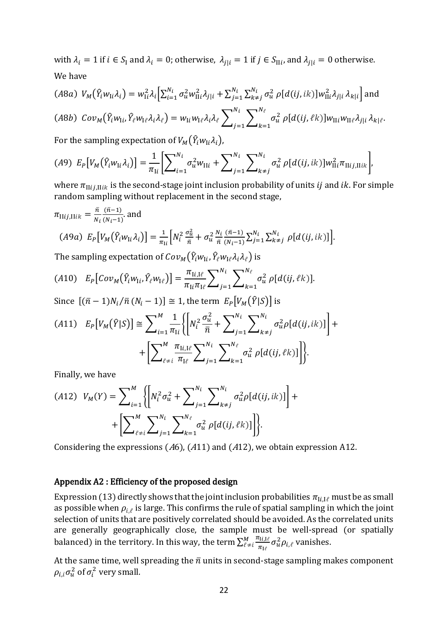with  $\lambda_i = 1$  if  $i \in S_I$  and  $\lambda_i = 0$ ; otherwise,  $\lambda_{j|i} = 1$  if  $j \in S_{\text{II}}$ , and  $\lambda_{j|i} = 0$  otherwise. We have

(A8a) 
$$
V_M(\hat{Y}_i w_{\text{I}i} \lambda_i) = w_{\text{I}i}^2 \lambda_i \Big[ \sum_{i=1}^{N_i} \sigma_u^2 w_{\text{II}i}^2 \lambda_{j|i} + \sum_{j=1}^{N_i} \sum_{k \neq j}^{N_i} \sigma_u^2 \rho[d(ij, ik)] w_{\text{II}i}^2 \lambda_{j|i} \lambda_{k|i} \Big] \text{ and}
$$
  
(A8b) 
$$
Cov_M(\hat{Y}_i w_{\text{I}i}, \hat{Y}_\ell w_{\text{I}i} \lambda_i \lambda_\ell) = w_{\text{I}i} w_{\text{I}i} \lambda_i \lambda_\ell \sum_{j=1}^{N_i} \sum_{k=1}^{N_\ell} \sigma_u^2 \rho[d(ij, \ell k)] w_{\text{II}i} w_{\text{II}i} \lambda_{j|i} \lambda_{k|\ell}.
$$

For the sampling expectation of  $V_M(\hat{Y}_i w_{1i} \lambda_i)$ ,

$$
(A9) \ E_P[V_M(\hat{Y}_i w_{Ii} \lambda_i)] = \frac{1}{\pi_{Ii}} \Biggl[ \sum\nolimits_{i=1}^{N_i} \sigma_u^2 w_{I1i} + \sum\nolimits_{j=1}^{N_i} \sum\nolimits_{k \neq j}^{N_i} \sigma_u^2 \rho[d(ij, ik)] w_{I1i}^2 \pi_{I1ij,IIik} \Biggr],
$$

where  $\pi_{\text{II}ij, \text{II}ik}$  is the second-stage joint inclusion probability of units *ij* and *ik*. For simple random sampling without replacement in the second stage,

$$
\pi_{\text{II}ij,\text{II}ik} = \frac{\bar{n}}{N_i} \frac{(\bar{n}-1)}{(N_i-1)} \text{ and}
$$
\n
$$
(A9a) \ E_P \big[ V_M \big( \hat{Y}_i w_{1i} \lambda_i \big) \big] = \frac{1}{\pi_{\text{II}}} \Big[ N_i^2 \frac{\sigma_u^2}{\bar{n}} + \sigma_u^2 \frac{N_i}{\bar{n}} \frac{(\bar{n}-1)}{(N_i-1)} \sum_{j=1}^{N_i} \sum_{k \neq j}^{N_i} \rho \big[ d(ij, ik) \big] \Big].
$$

The sampling expectation of  $\mathcal{C}ov_{M}(\widehat{Y}_{i}w_{\text{I}i},\widehat{Y}_{\ell}w_{\text{I}\ell}\lambda_{i}\lambda_{\ell})$  is

$$
(A10) \t E_P \big[ Cov_M \big( \hat{Y}_i w_{1i}, \hat{Y}_\ell w_{1\ell} \big) \big] = \frac{\pi_{1i,1\ell}}{\pi_{1i} \pi_{1\ell}} \sum_{j=1}^{N_i} \sum_{k=1}^{N_\ell} \sigma_u^2 \, \rho \big[ d(ij,\ell k) \big].
$$

Since  $[(\bar{n} - 1)N_i/\bar{n}(N_i - 1)] \approx 1$ , the term  $E_P[V_M(\hat{Y}|S)]$  is

$$
(A11) \quad E_P[V_M(\hat{Y}|S)] \cong \sum_{i=1}^M \frac{1}{\pi_{li}} \left\{ \left[ N_i^2 \frac{\sigma_u^2}{\bar{n}} + \sum_{j=1}^{N_i} \sum_{k \neq j}^{N_i} \sigma_u^2 \rho[d(ij, ik)] \right] + \left[ \sum_{\ell \neq i}^M \frac{\pi_{li,l\ell}}{\pi_{l\ell}} \sum_{j=1}^{N_i} \sum_{k=1}^{N_\ell} \sigma_u^2 \rho[d(ij, \ell k)] \right] \right\}.
$$

Finally, we have

$$
(A12) V_M(Y) = \sum_{i=1}^{M} \left\{ \left[ N_i^2 \sigma_u^2 + \sum_{j=1}^{N_i} \sum_{k \neq j}^{N_i} \sigma_u^2 \rho [d(ij, ik)] \right] + \left[ \sum_{\ell \neq i}^{M} \sum_{j=1}^{N_i} \sum_{k=1}^{N_\ell} \sigma_u^2 \rho [d(ij, \ell k)] \right] \right\}.
$$

Considering the expressions (A6), (A11) and (A12), we obtain expression A12.

#### Appendix A2 : Efficiency of the proposed design

Expression (13) directly shows that the joint inclusion probabilities  $\pi_{\text{Ii},\text{I}\ell}$  must be as small as possible when  $\rho_{i,\ell}$  is large. This confirms the rule of spatial sampling in which the joint selection of units that are positively correlated should be avoided. As the correlated units are generally geographically close, the sample must be well-spread (or spatially balanced) in the territory. In this way, the term  $\sum_{\ell \neq i}^{M} \frac{\pi_{\text{Ii},\text{I\#}}}{\tau_{\text{I}}}$  $\frac{M}{\ell \neq i} \frac{\pi_{\text{I}i,\text{I}\ell}}{\pi_{\text{I}\ell}} \sigma_u^2 \rho_{i,\ell}$  vanishes.

At the same time, well spreading the  $\bar{n}$  units in second-stage sampling makes component  $\rho_{i,i}\sigma_{u}^{2}$  of  $\sigma_{i}^{2}$  very small.